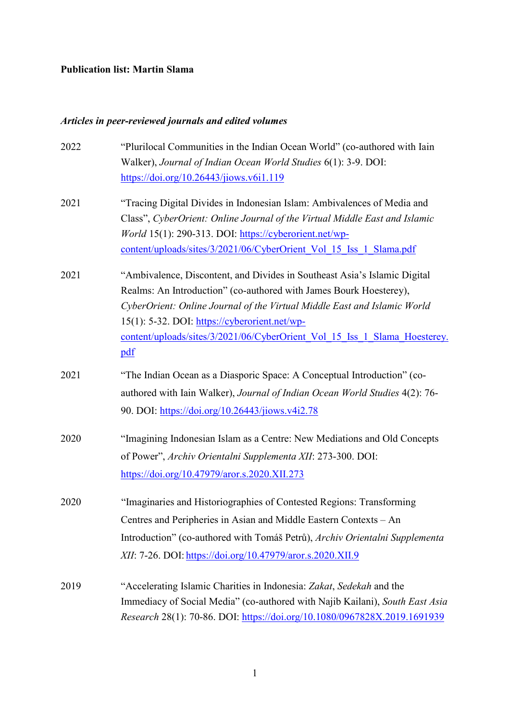### **Publication list: Martin Slama**

# *Articles in peer-reviewed journals and edited volumes*

| 2022 | "Plurilocal Communities in the Indian Ocean World" (co-authored with Iain    |
|------|------------------------------------------------------------------------------|
|      | Walker), Journal of Indian Ocean World Studies 6(1): 3-9. DOI:               |
|      | https://doi.org/10.26443/jiows.v6i1.119                                      |
| 2021 | "Tracing Digital Divides in Indonesian Islam: Ambivalences of Media and      |
|      | Class", CyberOrient: Online Journal of the Virtual Middle East and Islamic   |
|      | <i>World</i> 15(1): 290-313. DOI: https://cyberorient.net/wp-                |
|      | content/uploads/sites/3/2021/06/CyberOrient Vol 15 Iss 1 Slama.pdf           |
| 2021 | "Ambivalence, Discontent, and Divides in Southeast Asia's Islamic Digital    |
|      | Realms: An Introduction" (co-authored with James Bourk Hoesterey),           |
|      | CyberOrient: Online Journal of the Virtual Middle East and Islamic World     |
|      | 15(1): 5-32. DOI: https://cyberorient.net/wp-                                |
|      | content/uploads/sites/3/2021/06/CyberOrient Vol 15 Iss 1 Slama Hoesterey.    |
|      | pdf                                                                          |
| 2021 | "The Indian Ocean as a Diasporic Space: A Conceptual Introduction" (co-      |
|      | authored with Iain Walker), Journal of Indian Ocean World Studies 4(2): 76-  |
|      | 90. DOI: https://doi.org/10.26443/jiows.v4i2.78                              |
| 2020 | "Imagining Indonesian Islam as a Centre: New Mediations and Old Concepts     |
|      | of Power", Archiv Orientalni Supplementa XII: 273-300. DOI:                  |
|      | https://doi.org/10.47979/aror.s.2020.XII.273                                 |
| 2020 | "Imaginaries and Historiographies of Contested Regions: Transforming         |
|      | Centres and Peripheries in Asian and Middle Eastern Contexts - An            |
|      | Introduction" (co-authored with Tomáš Petrů), Archiv Orientalni Supplementa  |
|      | XII: 7-26. DOI: https://doi.org/10.47979/aror.s.2020.XII.9                   |
|      |                                                                              |
| 2019 | "Accelerating Islamic Charities in Indonesia: Zakat, Sedekah and the         |
|      | Immediacy of Social Media" (co-authored with Najib Kailani), South East Asia |
|      | Research 28(1): 70-86. DOI: https://doi.org/10.1080/0967828X.2019.1691939    |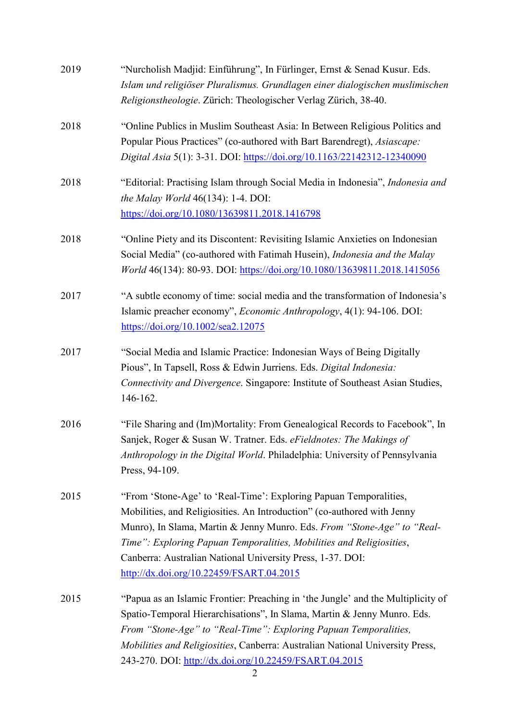| 2019 | "Nurcholish Madjid: Einführung", In Fürlinger, Ernst & Senad Kusur. Eds.<br>Islam und religiöser Pluralismus. Grundlagen einer dialogischen muslimischen<br>Religionstheologie. Zürich: Theologischer Verlag Zürich, 38-40.                                                                                                                                                                               |
|------|-----------------------------------------------------------------------------------------------------------------------------------------------------------------------------------------------------------------------------------------------------------------------------------------------------------------------------------------------------------------------------------------------------------|
| 2018 | "Online Publics in Muslim Southeast Asia: In Between Religious Politics and<br>Popular Pious Practices" (co-authored with Bart Barendregt), Asiascape:<br>Digital Asia 5(1): 3-31. DOI: https://doi.org/10.1163/22142312-12340090                                                                                                                                                                         |
| 2018 | "Editorial: Practising Islam through Social Media in Indonesia", Indonesia and<br>the Malay World $46(134)$ : 1-4. DOI:<br>https://doi.org/10.1080/13639811.2018.1416798                                                                                                                                                                                                                                  |
| 2018 | "Online Piety and its Discontent: Revisiting Islamic Anxieties on Indonesian<br>Social Media" (co-authored with Fatimah Husein), Indonesia and the Malay<br>World 46(134): 80-93. DOI: https://doi.org/10.1080/13639811.2018.1415056                                                                                                                                                                      |
| 2017 | "A subtle economy of time: social media and the transformation of Indonesia's<br>Islamic preacher economy", <i>Economic Anthropology</i> , 4(1): 94-106. DOI:<br>https://doi.org/10.1002/sea2.12075                                                                                                                                                                                                       |
| 2017 | "Social Media and Islamic Practice: Indonesian Ways of Being Digitally<br>Pious", In Tapsell, Ross & Edwin Jurriens. Eds. Digital Indonesia:<br>Connectivity and Divergence. Singapore: Institute of Southeast Asian Studies,<br>146-162.                                                                                                                                                                 |
| 2016 | "File Sharing and (Im)Mortality: From Genealogical Records to Facebook", In<br>Sanjek, Roger & Susan W. Tratner. Eds. eFieldnotes: The Makings of<br>Anthropology in the Digital World. Philadelphia: University of Pennsylvania<br>Press, 94-109.                                                                                                                                                        |
| 2015 | "From 'Stone-Age' to 'Real-Time': Exploring Papuan Temporalities,<br>Mobilities, and Religiosities. An Introduction" (co-authored with Jenny<br>Munro), In Slama, Martin & Jenny Munro. Eds. From "Stone-Age" to "Real-<br>Time": Exploring Papuan Temporalities, Mobilities and Religiosities,<br>Canberra: Australian National University Press, 1-37. DOI:<br>http://dx.doi.org/10.22459/FSART.04.2015 |
| 2015 | "Papua as an Islamic Frontier: Preaching in 'the Jungle' and the Multiplicity of<br>Spatio-Temporal Hierarchisations", In Slama, Martin & Jenny Munro. Eds.<br>From "Stone-Age" to "Real-Time": Exploring Papuan Temporalities,<br>Mobilities and Religiosities, Canberra: Australian National University Press,<br>243-270. DOI: http://dx.doi.org/10.22459/FSART.04.2015                                |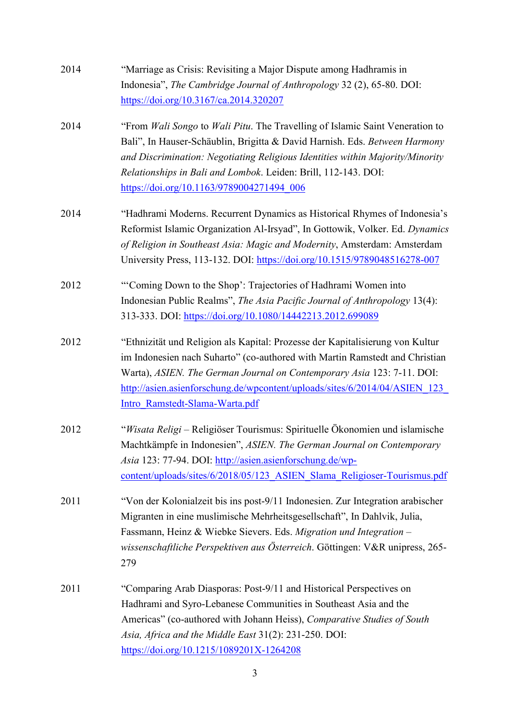| 2014 | "Marriage as Crisis: Revisiting a Major Dispute among Hadhramis in<br>Indonesia", The Cambridge Journal of Anthropology 32 (2), 65-80. DOI:<br>https://doi.org/10.3167/ca.2014.320207                                                                                                                                                                      |
|------|------------------------------------------------------------------------------------------------------------------------------------------------------------------------------------------------------------------------------------------------------------------------------------------------------------------------------------------------------------|
| 2014 | "From Wali Songo to Wali Pitu. The Travelling of Islamic Saint Veneration to<br>Bali", In Hauser-Schäublin, Brigitta & David Harnish. Eds. Between Harmony<br>and Discrimination: Negotiating Religious Identities within Majority/Minority<br>Relationships in Bali and Lombok. Leiden: Brill, 112-143. DOI:<br>https://doi.org/10.1163/9789004271494_006 |
| 2014 | "Hadhrami Moderns. Recurrent Dynamics as Historical Rhymes of Indonesia's<br>Reformist Islamic Organization Al-Irsyad", In Gottowik, Volker. Ed. Dynamics<br>of Religion in Southeast Asia: Magic and Modernity, Amsterdam: Amsterdam<br>University Press, 113-132. DOI: https://doi.org/10.1515/9789048516278-007                                         |
| 2012 | "Coming Down to the Shop': Trajectories of Hadhrami Women into<br>Indonesian Public Realms", The Asia Pacific Journal of Anthropology 13(4):<br>313-333. DOI: https://doi.org/10.1080/14442213.2012.699089                                                                                                                                                 |
| 2012 | "Ethnizität und Religion als Kapital: Prozesse der Kapitalisierung von Kultur<br>im Indonesien nach Suharto" (co-authored with Martin Ramstedt and Christian<br>Warta), ASIEN. The German Journal on Contemporary Asia 123: 7-11. DOI:<br>http://asien.asienforschung.de/wpcontent/uploads/sites/6/2014/04/ASIEN 123<br>Intro Ramstedt-Slama-Warta.pdf     |
| 2012 | "Wisata Religi – Religiöser Tourismus: Spirituelle Ökonomien und islamische<br>Machtkämpfe in Indonesien", ASIEN. The German Journal on Contemporary<br>Asia 123: 77-94. DOI: http://asien.asienforschung.de/wp-<br>content/uploads/sites/6/2018/05/123 ASIEN Slama Religioser-Tourismus.pdf                                                               |
| 2011 | "Von der Kolonialzeit bis ins post-9/11 Indonesien. Zur Integration arabischer<br>Migranten in eine muslimische Mehrheitsgesellschaft", In Dahlvik, Julia,<br>Fassmann, Heinz & Wiebke Sievers. Eds. Migration und Integration -<br>wissenschaftliche Perspektiven aus Österreich. Göttingen: V&R unipress, 265-<br>279                                    |
| 2011 | "Comparing Arab Diasporas: Post-9/11 and Historical Perspectives on<br>Hadhrami and Syro-Lebanese Communities in Southeast Asia and the<br>Americas" (co-authored with Johann Heiss), Comparative Studies of South<br>Asia, Africa and the Middle East 31(2): 231-250. DOI:<br>https://doi.org/10.1215/1089201X-1264208                                    |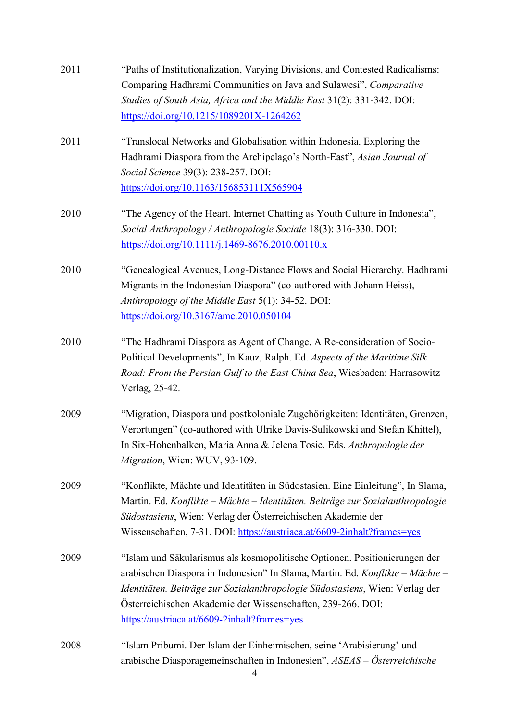| 2011 | "Paths of Institutionalization, Varying Divisions, and Contested Radicalisms:<br>Comparing Hadhrami Communities on Java and Sulawesi", Comparative<br>Studies of South Asia, Africa and the Middle East 31(2): 331-342. DOI:<br>https://doi.org/10.1215/1089201X-1264262                                                                                   |
|------|------------------------------------------------------------------------------------------------------------------------------------------------------------------------------------------------------------------------------------------------------------------------------------------------------------------------------------------------------------|
| 2011 | "Translocal Networks and Globalisation within Indonesia. Exploring the<br>Hadhrami Diaspora from the Archipelago's North-East", Asian Journal of<br>Social Science 39(3): 238-257. DOI:<br>https://doi.org/10.1163/156853111X565904                                                                                                                        |
| 2010 | "The Agency of the Heart. Internet Chatting as Youth Culture in Indonesia",<br>Social Anthropology / Anthropologie Sociale 18(3): 316-330. DOI:<br>https://doi.org/10.1111/j.1469-8676.2010.00110.x                                                                                                                                                        |
| 2010 | "Genealogical Avenues, Long-Distance Flows and Social Hierarchy. Hadhrami<br>Migrants in the Indonesian Diaspora" (co-authored with Johann Heiss),<br>Anthropology of the Middle East 5(1): 34-52. DOI:<br>https://doi.org/10.3167/ame.2010.050104                                                                                                         |
| 2010 | "The Hadhrami Diaspora as Agent of Change. A Re-consideration of Socio-<br>Political Developments", In Kauz, Ralph. Ed. Aspects of the Maritime Silk<br>Road: From the Persian Gulf to the East China Sea, Wiesbaden: Harrasowitz<br>Verlag, 25-42.                                                                                                        |
| 2009 | "Migration, Diaspora und postkoloniale Zugehörigkeiten: Identitäten, Grenzen,<br>Verortungen" (co-authored with Ulrike Davis-Sulikowski and Stefan Khittel),<br>In Six-Hohenbalken, Maria Anna & Jelena Tosic. Eds. Anthropologie der<br>Migration, Wien: WUV, 93-109.                                                                                     |
| 2009 | "Konflikte, Mächte und Identitäten in Südostasien. Eine Einleitung", In Slama,<br>Martin. Ed. Konflikte - Mächte - Identitäten. Beiträge zur Sozialanthropologie<br>Südostasiens, Wien: Verlag der Österreichischen Akademie der<br>Wissenschaften, 7-31. DOI: https://austriaca.at/6609-2inhalt?frames=yes                                                |
| 2009 | "Islam und Säkularismus als kosmopolitische Optionen. Positionierungen der<br>arabischen Diaspora in Indonesien" In Slama, Martin. Ed. Konflikte - Mächte -<br>Identitäten. Beiträge zur Sozialanthropologie Südostasiens, Wien: Verlag der<br>Österreichischen Akademie der Wissenschaften, 239-266. DOI:<br>https://austriaca.at/6609-2inhalt?frames=yes |
| 2008 | "Islam Pribumi. Der Islam der Einheimischen, seine 'Arabisierung' und<br>arabische Diasporagemeinschaften in Indonesien", ASEAS - Österreichische                                                                                                                                                                                                          |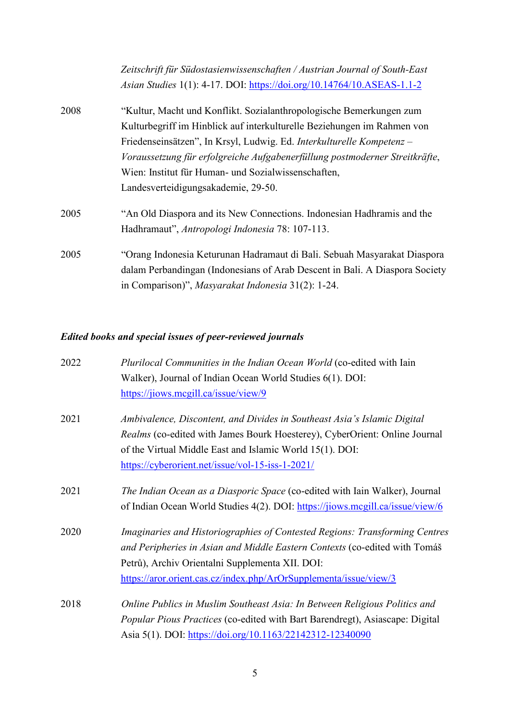*Zeitschrift für Südostasienwissenschaften / Austrian Journal of South-East Asian Studies* 1(1): 4-17. DOI:<https://doi.org/10.14764/10.ASEAS-1.1-2>

- 2008 "Kultur, Macht und Konflikt. Sozialanthropologische Bemerkungen zum Kulturbegriff im Hinblick auf interkulturelle Beziehungen im Rahmen von Friedenseinsätzen", In Krsyl, Ludwig. Ed. *Interkulturelle Kompetenz – Voraussetzung für erfolgreiche Aufgabenerfüllung postmoderner Streitkräfte*, Wien: Institut für Human- und Sozialwissenschaften, Landesverteidigungsakademie, 29-50. 2005 "An Old Diaspora and its New Connections. Indonesian Hadhramis and the
- Hadhramaut", *Antropologi Indonesia* 78: 107-113.
- 2005 "Orang Indonesia Keturunan Hadramaut di Bali. Sebuah Masyarakat Diaspora dalam Perbandingan (Indonesians of Arab Descent in Bali. A Diaspora Society in Comparison)", *Masyarakat Indonesia* 31(2): 1-24.

#### *Edited books and special issues of peer-reviewed journals*

| 2022 | Plurilocal Communities in the Indian Ocean World (co-edited with Iain         |
|------|-------------------------------------------------------------------------------|
|      | Walker), Journal of Indian Ocean World Studies 6(1). DOI:                     |
|      | https://jiows.mcgill.ca/issue/view/9                                          |
| 2021 | Ambivalence, Discontent, and Divides in Southeast Asia's Islamic Digital      |
|      | Realms (co-edited with James Bourk Hoesterey), CyberOrient: Online Journal    |
|      | of the Virtual Middle East and Islamic World 15(1). DOI:                      |
|      | https://cyberorient.net/issue/vol-15-iss-1-2021/                              |
| 2021 | The Indian Ocean as a Diasporic Space (co-edited with Iain Walker), Journal   |
|      | of Indian Ocean World Studies 4(2). DOI: https://jiows.mcgill.ca/issue/view/6 |
| 2020 | Imaginaries and Historiographies of Contested Regions: Transforming Centres   |
|      | and Peripheries in Asian and Middle Eastern Contexts (co-edited with Tomáš    |
|      | Petrů), Archiv Orientalni Supplementa XII. DOI:                               |
|      | https://aror.orient.cas.cz/index.php/ArOrSupplementa/issue/view/3             |
| 2018 | Online Publics in Muslim Southeast Asia: In Between Religious Politics and    |
|      | Popular Pious Practices (co-edited with Bart Barendregt), Asiascape: Digital  |
|      | Asia 5(1). DOI: https://doi.org/10.1163/22142312-12340090                     |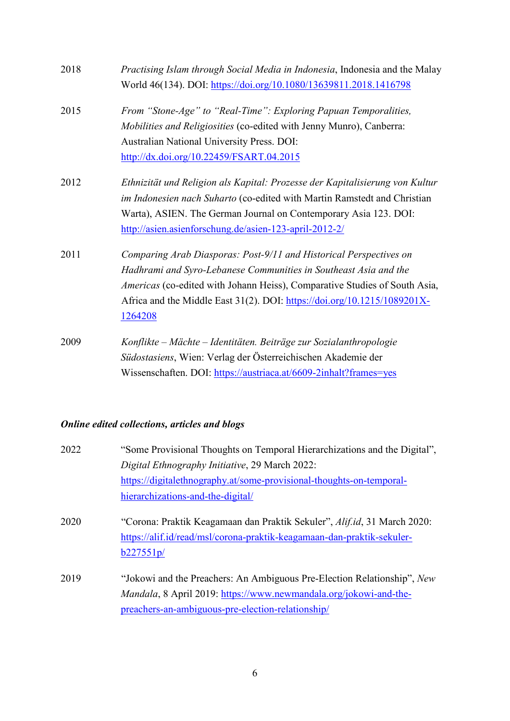| 2018 | Practising Islam through Social Media in Indonesia, Indonesia and the Malay  |
|------|------------------------------------------------------------------------------|
|      | World 46(134). DOI: https://doi.org/10.1080/13639811.2018.1416798            |
| 2015 | From "Stone-Age" to "Real-Time": Exploring Papuan Temporalities,             |
|      | Mobilities and Religiosities (co-edited with Jenny Munro), Canberra:         |
|      | Australian National University Press. DOI:                                   |
|      | http://dx.doi.org/10.22459/FSART.04.2015                                     |
| 2012 | Ethnizität und Religion als Kapital: Prozesse der Kapitalisierung von Kultur |
|      | im Indonesien nach Suharto (co-edited with Martin Ramstedt and Christian     |
|      | Warta), ASIEN. The German Journal on Contemporary Asia 123. DOI:             |
|      | http://asien.asienforschung.de/asien-123-april-2012-2/                       |
| 2011 | Comparing Arab Diasporas: Post-9/11 and Historical Perspectives on           |
|      | Hadhrami and Syro-Lebanese Communities in Southeast Asia and the             |
|      | Americas (co-edited with Johann Heiss), Comparative Studies of South Asia,   |
|      | Africa and the Middle East 31(2). DOI: https://doi.org/10.1215/1089201X-     |
|      | 1264208                                                                      |
| 2009 | Konflikte – Mächte – Identitäten. Beiträge zur Sozialanthropologie           |
|      | Südostasiens, Wien: Verlag der Österreichischen Akademie der                 |
|      | Wissenschaften. DOI: https://austriaca.at/6609-2inhalt?frames=yes            |

## *Online edited collections, articles and blogs*

| 2022 | "Some Provisional Thoughts on Temporal Hierarchizations and the Digital", |
|------|---------------------------------------------------------------------------|
|      | Digital Ethnography Initiative, 29 March 2022:                            |
|      | https://digitalethnography.at/some-provisional-thoughts-on-temporal-      |
|      | hierarchizations-and-the-digital/                                         |
| 2020 | "Corona: Praktik Keagamaan dan Praktik Sekuler", Alif.id, 31 March 2020:  |
|      | https://alif.id/read/msl/corona-praktik-keagamaan-dan-praktik-sekuler-    |
|      | b227551p/                                                                 |
| 2019 | "Jokowi and the Preachers: An Ambiguous Pre-Election Relationship", New   |
|      | Mandala, 8 April 2019: https://www.newmandala.org/jokowi-and-the-         |
|      | preachers-an-ambiguous-pre-election-relationship                          |
|      |                                                                           |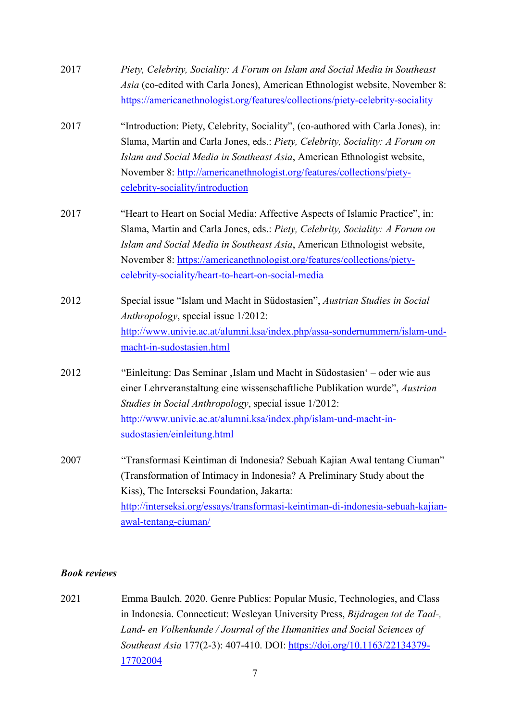| 2017 | Piety, Celebrity, Sociality: A Forum on Islam and Social Media in Southeast      |
|------|----------------------------------------------------------------------------------|
|      | Asia (co-edited with Carla Jones), American Ethnologist website, November 8:     |
|      | https://americanethnologist.org/features/collections/piety-celebrity-sociality   |
| 2017 | "Introduction: Piety, Celebrity, Sociality", (co-authored with Carla Jones), in: |
|      | Slama, Martin and Carla Jones, eds.: Piety, Celebrity, Sociality: A Forum on     |
|      | Islam and Social Media in Southeast Asia, American Ethnologist website,          |
|      | November 8: http://americanethnologist.org/features/collections/piety-           |
|      | celebrity-sociality/introduction                                                 |
| 2017 | "Heart to Heart on Social Media: Affective Aspects of Islamic Practice", in:     |
|      | Slama, Martin and Carla Jones, eds.: Piety, Celebrity, Sociality: A Forum on     |
|      | Islam and Social Media in Southeast Asia, American Ethnologist website,          |
|      | November 8: https://americanethnologist.org/features/collections/piety-          |
|      | celebrity-sociality/heart-to-heart-on-social-media                               |
| 2012 | Special issue "Islam und Macht in Südostasien", Austrian Studies in Social       |
|      | Anthropology, special issue 1/2012:                                              |
|      | http://www.univie.ac.at/alumni.ksa/index.php/assa-sondernummern/islam-und-       |
|      | macht-in-sudostasien.html                                                        |
| 2012 | "Einleitung: Das Seminar , Islam und Macht in Südostasien' – oder wie aus        |
|      | einer Lehrveranstaltung eine wissenschaftliche Publikation wurde", Austrian      |
|      | Studies in Social Anthropology, special issue 1/2012:                            |
|      | http://www.univie.ac.at/alumni.ksa/index.php/islam-und-macht-in-                 |
|      | sudostasien/einleitung.html                                                      |
| 2007 | "Transformasi Keintiman di Indonesia? Sebuah Kajian Awal tentang Ciuman"         |
|      | (Transformation of Intimacy in Indonesia? A Preliminary Study about the          |
|      | Kiss), The Interseksi Foundation, Jakarta:                                       |
|      | http://interseksi.org/essays/transformasi-keintiman-di-indonesia-sebuah-kajian-  |
|      | awal-tentang-ciuman/                                                             |

#### *Book reviews*

2021 Emma Baulch. 2020. Genre Publics: Popular Music, Technologies, and Class in Indonesia. Connecticut: Wesleyan University Press, *Bijdragen tot de Taal-, Land- en Volkenkunde / Journal of the Humanities and Social Sciences of Southeast Asia* 177(2-3): 407-410. DOI: [https://doi.org/10.1163/22134379-](https://doi.org/10.1163/22134379-17702004) [17702004](https://doi.org/10.1163/22134379-17702004)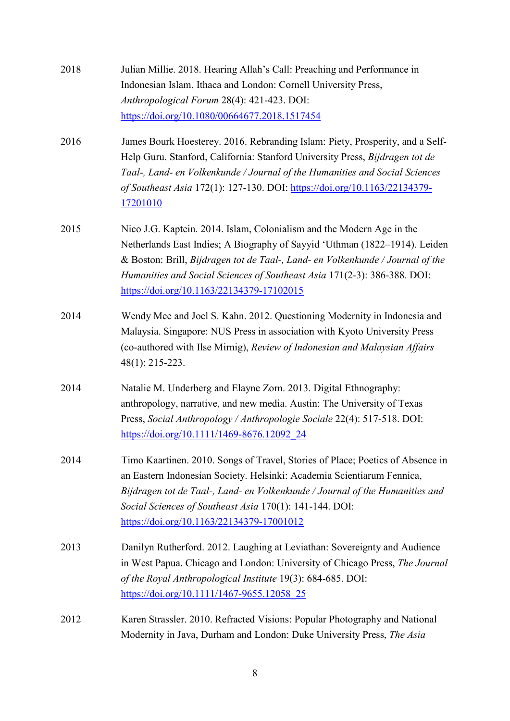- 2018 Julian Millie. 2018. Hearing Allah's Call: Preaching and Performance in Indonesian Islam. Ithaca and London: Cornell University Press, *Anthropological Forum* 28(4): 421-423. DOI: <https://doi.org/10.1080/00664677.2018.1517454>
- 2016 James Bourk Hoesterey. 2016. Rebranding Islam: Piety, Prosperity, and a Self-Help Guru. Stanford, California: Stanford University Press, *Bijdragen tot de Taal-, Land- en Volkenkunde / Journal of the Humanities and Social Sciences of Southeast Asia* 172(1): 127-130. DOI: [https://doi.org/10.1163/22134379-](https://doi.org/10.1163/22134379-17201010) [17201010](https://doi.org/10.1163/22134379-17201010)
- 2015 Nico J.G. Kaptein. 2014. Islam, Colonialism and the Modern Age in the Netherlands East Indies; A Biography of Sayyid 'Uthman (1822–1914). Leiden & Boston: Brill, *Bijdragen tot de Taal-, Land- en Volkenkunde / Journal of the Humanities and Social Sciences of Southeast Asia* 171(2-3): 386-388. DOI: <https://doi.org/10.1163/22134379-17102015>
- 2014 Wendy Mee and Joel S. Kahn. 2012. Questioning Modernity in Indonesia and Malaysia. Singapore: NUS Press in association with Kyoto University Press (co-authored with Ilse Mirnig), *Review of Indonesian and Malaysian Affairs* 48(1): 215-223.
- 2014 Natalie M. Underberg and Elayne Zorn. 2013. Digital Ethnography: anthropology, narrative, and new media. Austin: The University of Texas Press, *Social Anthropology / Anthropologie Sociale* 22(4): 517-518. DOI: [https://doi.org/10.1111/1469-8676.12092\\_24](https://doi.org/10.1111/1469-8676.12092_24)
- 2014 Timo Kaartinen. 2010. Songs of Travel, Stories of Place; Poetics of Absence in an Eastern Indonesian Society. Helsinki: Academia Scientiarum Fennica, *Bijdragen tot de Taal-, Land- en Volkenkunde / Journal of the Humanities and Social Sciences of Southeast Asia* 170(1): 141-144. DOI: <https://doi.org/10.1163/22134379-17001012>
- 2013 Danilyn Rutherford. 2012. Laughing at Leviathan: Sovereignty and Audience in West Papua. Chicago and London: University of Chicago Press, *The Journal of the Royal Anthropological Institute* 19(3): 684-685. DOI: [https://doi.org/10.1111/1467-9655.12058\\_25](https://doi.org/10.1111/1467-9655.12058_25)
- 2012 Karen Strassler. 2010. Refracted Visions: Popular Photography and National Modernity in Java, Durham and London: Duke University Press, *The Asia*